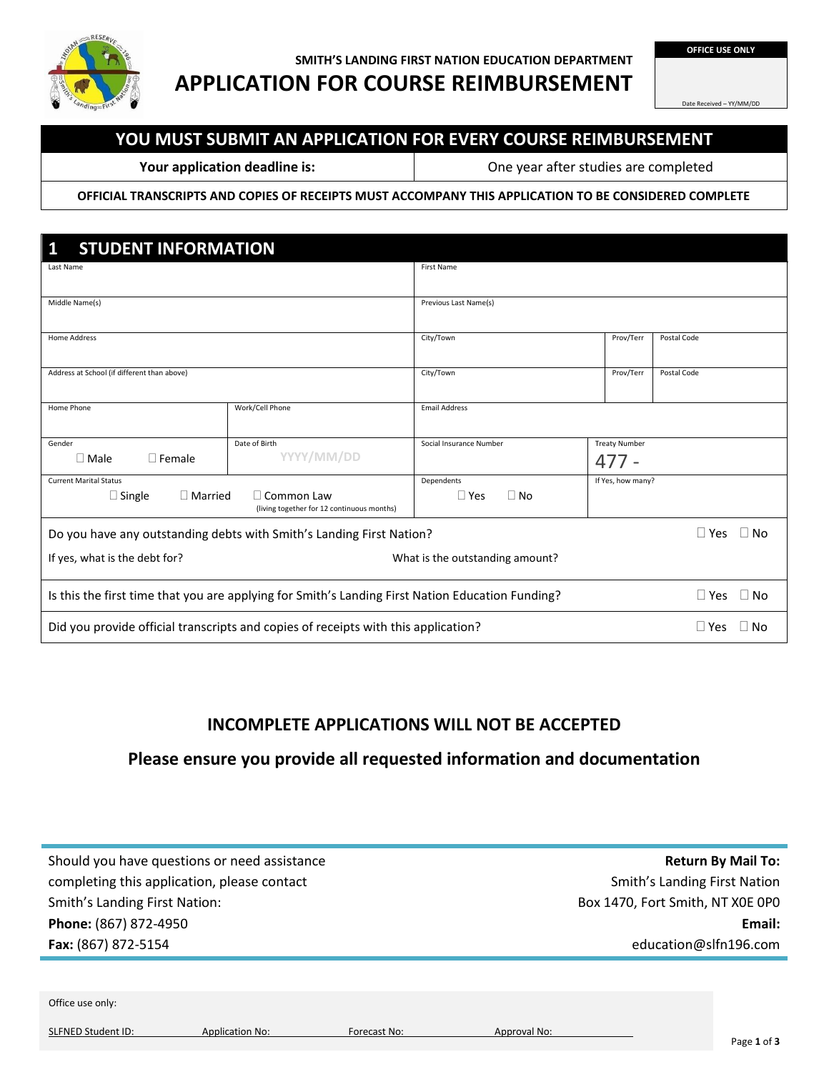

### **SMITH'S LANDING FIRST NATION EDUCATION DEPARTMENT APPLICATION FOR COURSE REIMBURSEMENT**

**OFFICE USE ONLY**

Date Received – YY/MM/DD

# **YOU MUST SUBMIT AN APPLICATION FOR EVERY COURSE REIMBURSEMENT**

**Your application deadline is:** One year after studies are completed

**OFFICIAL TRANSCRIPTS AND COPIES OF RECEIPTS MUST ACCOMPANY THIS APPLICATION TO BE CONSIDERED COMPLETE**

| $\mathbf{1}$<br><b>STUDENT INFORMATION</b>                                                                        |                             |                         |                                 |                   |  |
|-------------------------------------------------------------------------------------------------------------------|-----------------------------|-------------------------|---------------------------------|-------------------|--|
| Last Name                                                                                                         |                             | First Name              |                                 |                   |  |
| Middle Name(s)                                                                                                    |                             | Previous Last Name(s)   |                                 |                   |  |
| <b>Home Address</b>                                                                                               |                             | City/Town               | Postal Code<br>Prov/Terr        |                   |  |
| Address at School (if different than above)                                                                       |                             | City/Town               | Prov/Terr                       | Postal Code       |  |
| Home Phone                                                                                                        | Work/Cell Phone             | <b>Email Address</b>    |                                 |                   |  |
| Gender<br>$\Box$ Female<br>$\Box$ Male                                                                            | Date of Birth<br>YYYY/MM/DD | Social Insurance Number | <b>Treaty Number</b><br>$477 -$ |                   |  |
| <b>Current Marital Status</b>                                                                                     |                             | Dependents              | If Yes, how many?               |                   |  |
| $\Box$ Single<br>$\Box$ Married<br>$\Box$ Common Law<br>(living together for 12 continuous months)                |                             | $\Box$ Yes<br>$\Box$ No |                                 |                   |  |
| Do you have any outstanding debts with Smith's Landing First Nation?                                              |                             |                         | $\Box$ Yes<br>$\Box$ No         |                   |  |
| If yes, what is the debt for?<br>What is the outstanding amount?                                                  |                             |                         |                                 |                   |  |
| Is this the first time that you are applying for Smith's Landing First Nation Education Funding?<br>$\square$ Yes |                             |                         |                                 | $\Box$ No         |  |
| Did you provide official transcripts and copies of receipts with this application?                                |                             |                         |                                 | l l Yes<br>∣ I No |  |

# **INCOMPLETE APPLICATIONS WILL NOT BE ACCEPTED**

### **Please ensure you provide all requested information and documentation**

| Should you have questions or need assistance |
|----------------------------------------------|
| completing this application, please contact  |
| <b>Smith's Landing First Nation:</b>         |
| Phone: (867) 872-4950                        |
| Fax: (867) 872-5154                          |
|                                              |
|                                              |
| Office use only:                             |

SLFNED Student ID: Application No: Forecast No: Approval No: Approval No:

**Return By Mail To:**  Smith's Landing First Nation Box 1470, Fort Smith, NT X0E 0P0 **Email:** education@slfn196.com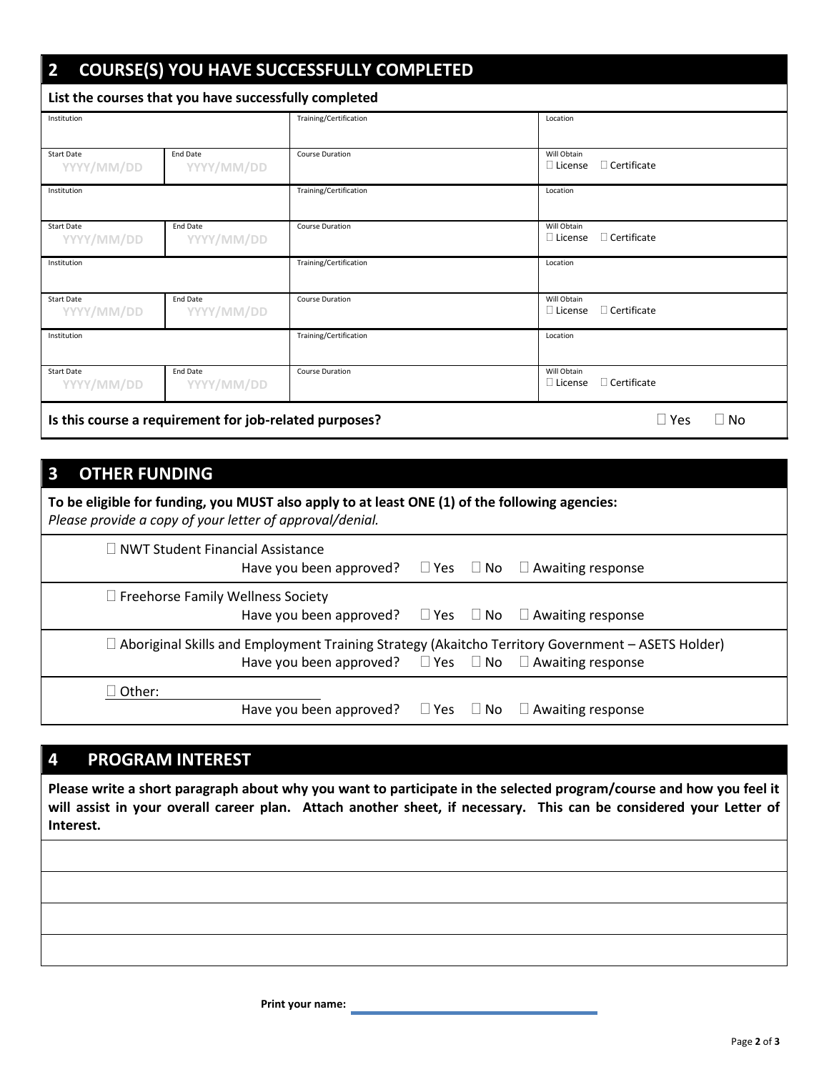| <b>COURSE(S) YOU HAVE SUCCESSFULLY COMPLETED</b><br>$\overline{\mathbf{2}}$   |                               |                        |                                                     |  |  |  |
|-------------------------------------------------------------------------------|-------------------------------|------------------------|-----------------------------------------------------|--|--|--|
| List the courses that you have successfully completed                         |                               |                        |                                                     |  |  |  |
| Institution                                                                   |                               | Training/Certification | Location                                            |  |  |  |
| <b>Start Date</b><br>YYYY/MM/DD                                               | <b>End Date</b><br>YYYY/MM/DD | <b>Course Duration</b> | Will Obtain<br>$\Box$ Certificate<br>$\Box$ License |  |  |  |
| Institution                                                                   |                               | Training/Certification | Location                                            |  |  |  |
| <b>Start Date</b><br>YYYY/MM/DD                                               | <b>End Date</b><br>YYYY/MM/DD | <b>Course Duration</b> | Will Obtain<br>$\Box$ Certificate<br>$\Box$ License |  |  |  |
| Institution                                                                   |                               | Training/Certification | Location                                            |  |  |  |
| <b>Start Date</b><br>YYYY/MM/DD                                               | <b>End Date</b><br>YYYY/MM/DD | <b>Course Duration</b> | Will Obtain<br>$\Box$ Certificate<br>$\Box$ License |  |  |  |
| Institution                                                                   |                               | Training/Certification | Location                                            |  |  |  |
| <b>Start Date</b><br>YYYY/MM/DD                                               | <b>End Date</b><br>YYYY/MM/DD | <b>Course Duration</b> | Will Obtain<br>$\Box$ Certificate<br>$\Box$ License |  |  |  |
| Is this course a requirement for job-related purposes?<br>$\square$ Yes<br>No |                               |                        |                                                     |  |  |  |

# **3 OTHER FUNDING**

| To be eligible for funding, you MUST also apply to at least ONE (1) of the following agencies:<br>Please provide a copy of your letter of approval/denial.                           |  |  |  |  |
|--------------------------------------------------------------------------------------------------------------------------------------------------------------------------------------|--|--|--|--|
| $\Box$ NWT Student Financial Assistance<br>Have you been approved? $\Box$ Yes $\Box$ No $\Box$ Awaiting response                                                                     |  |  |  |  |
| $\Box$ Freehorse Family Wellness Society<br>Have you been approved? $\Box$ Yes $\Box$ No $\Box$ Awaiting response                                                                    |  |  |  |  |
| $\exists$ Aboriginal Skills and Employment Training Strategy (Akaitcho Territory Government – ASETS Holder)<br>Have you been approved? $\Box$ Yes $\Box$ No $\Box$ Awaiting response |  |  |  |  |
| ∃ Other:<br>Have you been approved? $\square$ Yes $\square$ No $\square$ Awaiting response                                                                                           |  |  |  |  |

# **4 PROGRAM INTEREST**

**Please write a short paragraph about why you want to participate in the selected program/course and how you feel it will assist in your overall career plan. Attach another sheet, if necessary. This can be considered your Letter of Interest.**

 **Print your name:**